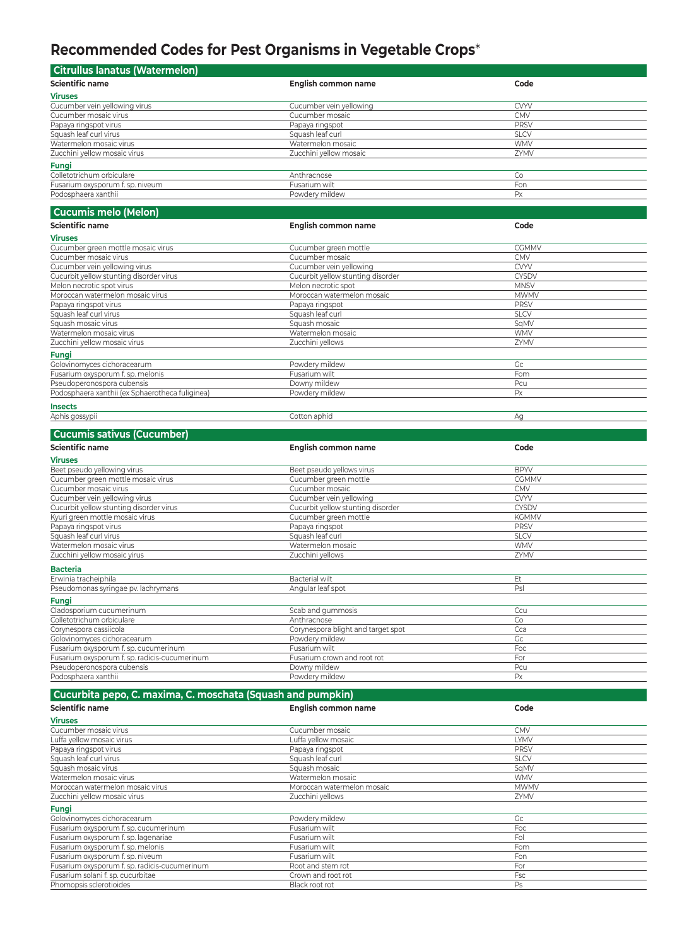## **Recommended Codes for Pest Organisms in Vegetable Crops**\*

| Citrullus Ianatus (Watermelon)   |                         |             |  |
|----------------------------------|-------------------------|-------------|--|
| <b>Scientific name</b>           | English common name     | Code        |  |
| <b>Viruses</b>                   |                         |             |  |
| Cucumber vein yellowing virus    | Cucumber vein yellowing | <b>CVYV</b> |  |
| Cucumber mosaic virus            | Cucumber mosaic         | <b>CMV</b>  |  |
| Papaya ringspot virus            | Papaya ringspot         | PRSV        |  |
| Squash leaf curl virus           | Squash leaf curl        | <b>SLCV</b> |  |
| Watermelon mosaic virus          | Watermelon mosaic       | <b>WMV</b>  |  |
| Zucchini yellow mosaic virus     | Zucchini yellow mosaic  | ZYMV        |  |
| <b>Fungi</b>                     |                         |             |  |
| Colletotrichum orbiculare        | Anthracnose             | Co          |  |
| Fusarium oxysporum f. sp. niveum | Fusarium wilt           | Fon         |  |
| Podosphaera xanthii              | Powdery mildew          | Px          |  |

## **Cucumis melo (Melon)**

| <b>Scientific name</b>                          | English common name               | Code         |
|-------------------------------------------------|-----------------------------------|--------------|
| <b>Viruses</b>                                  |                                   |              |
| Cucumber green mottle mosaic virus              | Cucumber green mottle             | <b>CGMMV</b> |
| Cucumber mosaic virus                           | Cucumber mosaic                   | <b>CMV</b>   |
| Cucumber vein yellowing virus                   | Cucumber vein yellowing           | <b>CVYV</b>  |
| Cucurbit yellow stunting disorder virus         | Cucurbit yellow stunting disorder | <b>CYSDV</b> |
| Melon necrotic spot virus                       | Melon necrotic spot               | <b>MNSV</b>  |
| Moroccan watermelon mosaic virus                | Moroccan watermelon mosaic        | <b>MWMV</b>  |
| Papaya ringspot virus                           | Papaya ringspot                   | <b>PRSV</b>  |
| Squash leaf curl virus                          | Squash leaf curl                  | <b>SLCV</b>  |
| Squash mosaic virus                             | Squash mosaic                     | SqMV         |
| Watermelon mosaic virus                         | Watermelon mosaic                 | <b>WMV</b>   |
| Zucchini yellow mosaic virus                    | Zucchini yellows                  | ZYMV         |
| Fungi                                           |                                   |              |
| Golovinomyces cichoracearum                     | Powdery mildew                    | Gc           |
| Fusarium oxysporum f. sp. melonis               | Fusarium wilt                     | Fom          |
| Pseudoperonospora cubensis                      | Downy mildew                      | Pcu          |
| Podosphaera xanthii (ex Sphaerotheca fuliginea) | Powdery mildew                    | Px           |
|                                                 |                                   |              |

## **Insects**

Aphis gossypii Cotton aphid Ag

| <b>Cucumis sativus (Cucumber)</b>             |                                    |              |  |
|-----------------------------------------------|------------------------------------|--------------|--|
| <b>Scientific name</b>                        | English common name                | Code         |  |
| <b>Viruses</b>                                |                                    |              |  |
| Beet pseudo yellowing virus                   | Beet pseudo yellows virus          | <b>BPYV</b>  |  |
| Cucumber green mottle mosaic virus            | Cucumber green mottle              | <b>CGMMV</b> |  |
| Cucumber mosaic virus                         | Cucumber mosaic                    | <b>CMV</b>   |  |
| Cucumber vein yellowing virus                 | Cucumber vein yellowing            | <b>CVYV</b>  |  |
| Cucurbit yellow stunting disorder virus       | Cucurbit yellow stunting disorder  | <b>CYSDV</b> |  |
| Kyuri green mottle mosaic virus               | Cucumber green mottle              | <b>KGMMV</b> |  |
| Papaya ringspot virus                         | Papaya ringspot                    | <b>PRSV</b>  |  |
| Squash leaf curl virus                        | Squash leaf curl                   | <b>SLCV</b>  |  |
| Watermelon mosaic virus                       | Watermelon mosaic                  | <b>WMV</b>   |  |
| Zucchini yellow mosaic yirus                  | Zucchini yellows                   | ZYMV         |  |
| <b>Bacteria</b>                               |                                    |              |  |
| Erwinia tracheiphila                          | <b>Bacterial wilt</b>              | Et           |  |
| Pseudomonas syringae pv. lachrymans           | Angular leaf spot                  | PsI          |  |
| Fungi                                         |                                    |              |  |
| Cladosporium cucumerinum                      | Scab and gummosis                  | Ccu          |  |
| Colletotrichum orbiculare                     | Anthracnose                        | Co           |  |
| Corynespora cassiicola                        | Corynespora blight and target spot | Cca          |  |
| Golovinomyces cichoracearum                   | Powdery mildew                     | Gc           |  |
| Fusarium oxysporum f. sp. cucumerinum         | Fusarium wilt                      | Foc          |  |
| Fusarium oxysporum f. sp. radicis-cucumerinum | Fusarium crown and root rot        | For          |  |
| Pseudoperonospora cubensis                    | Downy mildew                       | Pcu          |  |
| Podosphaera xanthii                           | Powdery mildew                     | Px           |  |

## **Cucurbita pepo, C. maxima, C. moschata (Squash and pumpkin) Scientific name English common name Code**

| Cucumber mosaic            | <b>CMV</b>  |
|----------------------------|-------------|
| Luffa yellow mosaic        | <b>LYMV</b> |
| Papaya ringspot            | <b>PRSV</b> |
| Squash leaf curl           | <b>SLCV</b> |
| Squash mosaic              | SqMV        |
| Watermelon mosaic          | <b>WMV</b>  |
| Moroccan watermelon mosaic | <b>MWMV</b> |
| Zucchini yellows           | ZYMV        |
|                            |             |
| Powdery mildew             | Gc          |
| Fusarium wilt              | Foc         |
| Fusarium wilt              | Fol         |
| Fusarium wilt              | Fom         |
| Fusarium wilt              | Fon         |
| Root and stem rot          | For         |
| Crown and root rot         | Fsc         |
| Black root rot             | Ps          |
|                            |             |